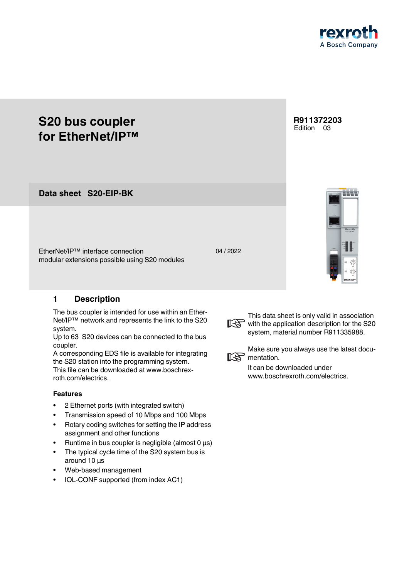

# **S20 bus coupler for EtherNet/IP™**

**S20-EIP-BK Data sheet**

EtherNet/IP™ interface connection modular extensions possible using S20 modules

# <span id="page-0-0"></span>**1 Description**

The bus coupler is intended for use within an Ether-Net/IP™ network and represents the link to the S20 system.

Up to 63 S20 devices can be connected to the bus coupler.

A corresponding EDS file is available for integrating the S20 station into the programming system. This file can be downloaded at www.boschrexroth.com/electrics.

#### **Features**

- 2 Ethernet ports (with integrated switch)
- Transmission speed of 10 Mbps and 100 Mbps
- Rotary coding switches for setting the IP address assignment and other functions
- Runtime in bus coupler is negligible (almost  $0 \mu s$ )
- The typical cycle time of the S20 system bus is around 10 μs
- Web-based management
- IOL-CONF supported (from index AC1)







This data sheet is only valid in association with the application description for the S20 system, material number R911335988.



Make sure you always use the latest docu-

It can be downloaded under www.boschrexroth.com/electrics.

### 04 / 2022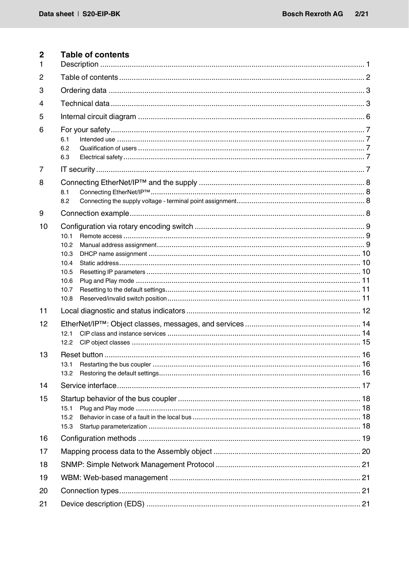<span id="page-1-0"></span>

| $\overline{2}$<br>1 | <b>Table of contents</b>                                     |  |  |  |  |
|---------------------|--------------------------------------------------------------|--|--|--|--|
| $\overline{2}$      |                                                              |  |  |  |  |
| 3                   |                                                              |  |  |  |  |
| 4                   |                                                              |  |  |  |  |
| 5                   |                                                              |  |  |  |  |
| 6                   | 6.1<br>6.2<br>6.3                                            |  |  |  |  |
| $\overline{7}$      |                                                              |  |  |  |  |
| 8                   | 8.1<br>8.2                                                   |  |  |  |  |
| 9                   |                                                              |  |  |  |  |
| 10                  | 10.1<br>10.2<br>10.3<br>10.4<br>10.5<br>10.6<br>10.7<br>10.8 |  |  |  |  |
| 11                  |                                                              |  |  |  |  |
| 12                  | 12.1<br>12.2                                                 |  |  |  |  |
| 13                  | 13.1<br>13.2                                                 |  |  |  |  |
| 14                  |                                                              |  |  |  |  |
| 15                  | 15.1<br>15.2<br>15.3                                         |  |  |  |  |
| 16                  |                                                              |  |  |  |  |
| 17                  |                                                              |  |  |  |  |
| 18                  |                                                              |  |  |  |  |
| 19                  |                                                              |  |  |  |  |
| 20                  |                                                              |  |  |  |  |
| 21                  |                                                              |  |  |  |  |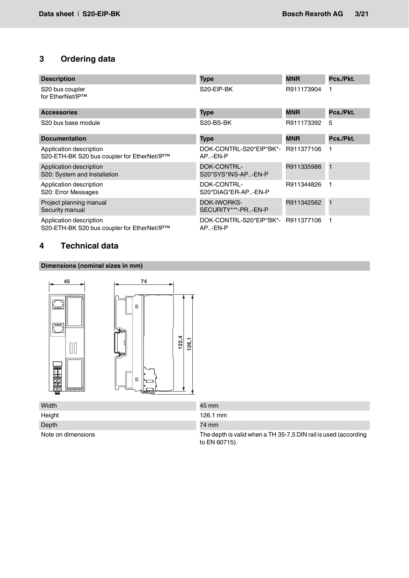# <span id="page-2-0"></span>**3 Ordering data**

| <b>Description</b>                                                     | <b>Type</b>                                   | <b>MNR</b> | Pcs./Pkt.      |
|------------------------------------------------------------------------|-----------------------------------------------|------------|----------------|
| S20 bus coupler<br>for EtherNet/IP™                                    | S20-EIP-BK                                    | R911173904 |                |
| <b>Accessories</b>                                                     | Type                                          | <b>MNR</b> | Pcs./Pkt.      |
| S <sub>20</sub> bus base module                                        | S20-BS-BK                                     | R911173392 | 5              |
| <b>Documentation</b>                                                   | <b>Type</b>                                   | <b>MNR</b> | Pcs./Pkt.      |
| Application description<br>S20-ETH-BK S20 bus coupler for EtherNet/IP™ | DOK-CONTRL-S20*EIP*BK*-<br>AP-EN-P            | R911377106 |                |
| Application description<br>S20: System and Installation                | <b>DOK-CONTRL-</b><br>S20*SYS*INS-AP-EN-P     | R911335988 | $\blacksquare$ |
| Application description<br>S20: Error Messages                         | DOK-CONTRL-<br>S20*DIAG*ER-AP-EN-P            | R911344826 |                |
| Project planning manual<br>Security manual                             | <b>DOK-IWORKS-</b><br>SECURITY***-PR-EN-P     | R911342562 | $\mathbf{1}$   |
| Application description<br>S20-ETH-BK S20 bus coupler for EtherNet/IP™ | DOK-CONTRL-S20*EIP*BK*- R911377106<br>AP-EN-P |            |                |

# <span id="page-2-1"></span>**4 Technical data**

# **Dimensions (nominal sizes in mm)**



| Width              | 45 mm                                                           |
|--------------------|-----------------------------------------------------------------|
| Height             | 126.1 mm                                                        |
| Depth              | 74 mm                                                           |
| Note on dimensions | The depth is valid when a TH 35-7,5 DIN rail is used (according |

to EN 60715).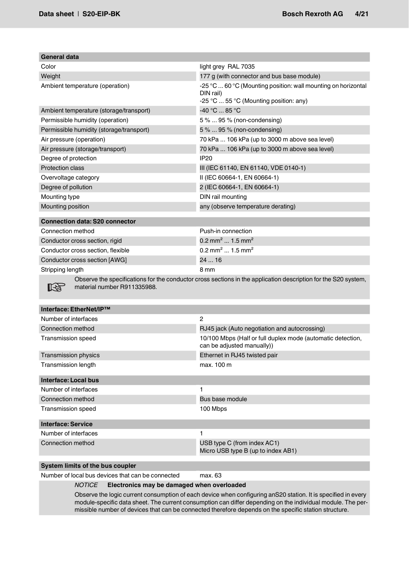| General data                                                                                                                                  |                                                                                                                      |  |  |  |
|-----------------------------------------------------------------------------------------------------------------------------------------------|----------------------------------------------------------------------------------------------------------------------|--|--|--|
| Color                                                                                                                                         | light grey RAL 7035                                                                                                  |  |  |  |
| Weight                                                                                                                                        | 177 g (with connector and bus base module)                                                                           |  |  |  |
| Ambient temperature (operation)                                                                                                               | -25 °C  60 °C (Mounting position: wall mounting on horizontal<br>DIN rail)<br>-25 °C  55 °C (Mounting position: any) |  |  |  |
| Ambient temperature (storage/transport)                                                                                                       | -40 °C  85 °C                                                                                                        |  |  |  |
| Permissible humidity (operation)                                                                                                              | 5 %  95 % (non-condensing)                                                                                           |  |  |  |
| Permissible humidity (storage/transport)                                                                                                      | 5 %  95 % (non-condensing)                                                                                           |  |  |  |
| Air pressure (operation)                                                                                                                      | 70 kPa  106 kPa (up to 3000 m above sea level)                                                                       |  |  |  |
| Air pressure (storage/transport)                                                                                                              | 70 kPa  106 kPa (up to 3000 m above sea level)                                                                       |  |  |  |
| Degree of protection                                                                                                                          | <b>IP20</b>                                                                                                          |  |  |  |
| <b>Protection class</b>                                                                                                                       | III (IEC 61140, EN 61140, VDE 0140-1)                                                                                |  |  |  |
| Overvoltage category                                                                                                                          | II (IEC 60664-1, EN 60664-1)                                                                                         |  |  |  |
| Degree of pollution                                                                                                                           | 2 (IEC 60664-1, EN 60664-1)                                                                                          |  |  |  |
| Mounting type                                                                                                                                 | DIN rail mounting                                                                                                    |  |  |  |
| Mounting position                                                                                                                             | any (observe temperature derating)                                                                                   |  |  |  |
| <b>Connection data: S20 connector</b>                                                                                                         |                                                                                                                      |  |  |  |
| Connection method                                                                                                                             | Push-in connection                                                                                                   |  |  |  |
| Conductor cross section, rigid                                                                                                                | 0.2 mm <sup>2</sup> 1.5 mm <sup>2</sup>                                                                              |  |  |  |
| Conductor cross section, flexible                                                                                                             | $0.2$ mm <sup>2</sup> 1.5 mm <sup>2</sup>                                                                            |  |  |  |
| Conductor cross section [AWG]                                                                                                                 | 24  16                                                                                                               |  |  |  |
| Stripping length                                                                                                                              | 8 mm                                                                                                                 |  |  |  |
| Observe the specifications for the conductor cross sections in the application description for the S20 system,<br>material number R911335988. |                                                                                                                      |  |  |  |
| Interface: EtherNet/IP™                                                                                                                       |                                                                                                                      |  |  |  |
| Number of interfaces                                                                                                                          | $\overline{2}$                                                                                                       |  |  |  |
| Connection method                                                                                                                             | RJ45 jack (Auto negotiation and autocrossing)                                                                        |  |  |  |
| <b>Transmission speed</b>                                                                                                                     | 10/100 Mbps (Half or full duplex mode (automatic detection,<br>can be adjusted manually))                            |  |  |  |
| Transmission physics                                                                                                                          | Ethernet in RJ45 twisted pair                                                                                        |  |  |  |
| <b>Transmission length</b>                                                                                                                    | max. 100 m                                                                                                           |  |  |  |
| <b>Interface: Local bus</b>                                                                                                                   |                                                                                                                      |  |  |  |
| Number of interfaces                                                                                                                          | 1                                                                                                                    |  |  |  |
| Connection method                                                                                                                             | Bus base module                                                                                                      |  |  |  |
| <b>Transmission speed</b>                                                                                                                     | 100 Mbps                                                                                                             |  |  |  |
| <b>Interface: Service</b>                                                                                                                     |                                                                                                                      |  |  |  |
| Number of interfaces                                                                                                                          | 1                                                                                                                    |  |  |  |
| Connection method                                                                                                                             | USB type C (from index AC1)<br>Micro USB type B (up to index AB1)                                                    |  |  |  |
| System limits of the bus coupler                                                                                                              |                                                                                                                      |  |  |  |

Number of local bus devices that can be connected max. 63

#### *NOTICE* **Electronics may be damaged when overloaded**

Observe the logic current consumption of each device when configuring anS20 station. It is specified in every module-specific data sheet. The current consumption can differ depending on the individual module. The permissible number of devices that can be connected therefore depends on the specific station structure.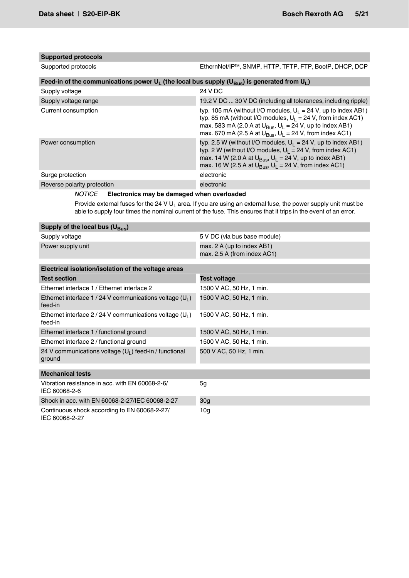# **Supported protocols**

Supported protocols EthernNet/IP™, SNMP, HTTP, TFTP, FTP, BootP, DHCP, DCP

| Feed-in of the communications power U <sub>L</sub> (the local bus supply (U <sub>Bus</sub> ) is generated from U <sub>L</sub> ) |                                                                                                                                                                                                                                                                                         |  |  |  |
|---------------------------------------------------------------------------------------------------------------------------------|-----------------------------------------------------------------------------------------------------------------------------------------------------------------------------------------------------------------------------------------------------------------------------------------|--|--|--|
| Supply voltage                                                                                                                  | 24 V DC                                                                                                                                                                                                                                                                                 |  |  |  |
| Supply voltage range                                                                                                            | 19.2 V DC  30 V DC (including all tolerances, including ripple)                                                                                                                                                                                                                         |  |  |  |
| Current consumption                                                                                                             | typ. 105 mA (without I/O modules, $U_1 = 24$ V, up to index AB1)<br>typ. 85 mA (without I/O modules, $U_1 = 24$ V, from index AC1)<br>max. 583 mA (2.0 A at $U_{\text{Bus}}$ , $U_1 = 24$ V, up to index AB1)<br>max. 670 mA (2.5 A at $U_{\text{Bus}}$ , $U_1 = 24$ V, from index AC1) |  |  |  |
| Power consumption                                                                                                               | typ. 2.5 W (without I/O modules, $U_1 = 24$ V, up to index AB1)<br>typ. 2 W (without I/O modules, $U_1 = 24$ V, from index AC1)<br>max. 14 W (2.0 A at $U_{\text{BUS}}$ , $U_1 = 24$ V, up to index AB1)<br>max. 16 W (2.5 A at $U_{\text{Bus}}$ , $U_1 = 24$ V, from index AC1)        |  |  |  |
| Surge protection                                                                                                                | electronic                                                                                                                                                                                                                                                                              |  |  |  |
| Reverse polarity protection                                                                                                     | electronic                                                                                                                                                                                                                                                                              |  |  |  |

### *NOTICE* **Electronics may be damaged when overloaded**

Provide external fuses for the 24 V  $U_L$  area. If you are using an external fuse, the power supply unit must be able to supply four times the nominal current of the fuse. This ensures that it trips in the event of an error.

| Supply of the local bus $(U_{\text{Bus}})$ |                                                                     |  |  |  |
|--------------------------------------------|---------------------------------------------------------------------|--|--|--|
| Supply voltage                             | 5 V DC (via bus base module)                                        |  |  |  |
| Power supply unit                          | max. $2 \text{ A}$ (up to index AB1)<br>max. 2.5 A (from index AC1) |  |  |  |
|                                            |                                                                     |  |  |  |

| Electrical isolation/isolation of the voltage areas                   |                          |  |  |  |  |
|-----------------------------------------------------------------------|--------------------------|--|--|--|--|
| <b>Test section</b>                                                   | <b>Test voltage</b>      |  |  |  |  |
| Ethernet interface 1 / Ethernet interface 2                           | 1500 V AC, 50 Hz, 1 min. |  |  |  |  |
| Ethernet interface 1/24 V communications voltage $(U_1)$<br>feed-in   | 1500 V AC, 50 Hz, 1 min. |  |  |  |  |
| Ethernet interface 2 / 24 V communications voltage $(U_1)$<br>feed-in | 1500 V AC, 50 Hz, 1 min. |  |  |  |  |
| Ethernet interface 1 / functional ground                              | 1500 V AC, 50 Hz, 1 min. |  |  |  |  |
| Ethernet interface 2 / functional ground                              | 1500 V AC, 50 Hz, 1 min. |  |  |  |  |
| 24 V communications voltage $(U_1)$ feed-in / functional<br>ground    | 500 V AC, 50 Hz, 1 min.  |  |  |  |  |
| <b>Mechanical tests</b>                                               |                          |  |  |  |  |
| Vibration resistance in acc. with EN 60068-2-6/<br>IEC 60068-2-6      | 5 <sub>q</sub>           |  |  |  |  |
| Shock in acc. with EN 60068-2-27/IEC 60068-2-27                       | 30g                      |  |  |  |  |
| Continuous shock according to EN 60068-2-27/<br>IEC 60068-2-27        | 10 <sub>g</sub>          |  |  |  |  |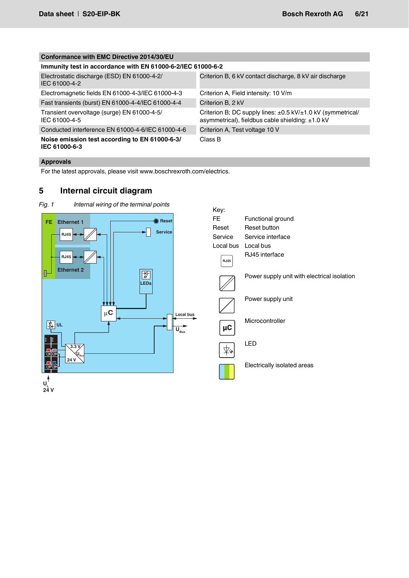| Conformance with EMC Directive 2014/30/EU                       |                                                                                                                 |  |  |  |
|-----------------------------------------------------------------|-----------------------------------------------------------------------------------------------------------------|--|--|--|
| Immunity test in accordance with EN 61000-6-2/IEC 61000-6-2     |                                                                                                                 |  |  |  |
| Electrostatic discharge (ESD) EN 61000-4-2/<br>IEC 61000-4-2    | Criterion B, 6 kV contact discharge, 8 kV air discharge                                                         |  |  |  |
| Electromagnetic fields EN 61000-4-3/IEC 61000-4-3               | Criterion A, Field intensity: 10 V/m                                                                            |  |  |  |
| Fast transients (burst) EN 61000-4-4/IEC 61000-4-4              | Criterion B, 2 kV                                                                                               |  |  |  |
| Transient overvoltage (surge) EN 61000-4-5/<br>IEC 61000-4-5    | Criterion B; DC supply lines: ±0.5 kV/±1.0 kV (symmetrical/<br>asymmetrical), fieldbus cable shielding: ±1.0 kV |  |  |  |
| Conducted interference EN 61000-4-6/IEC 61000-4-6               | Criterion A. Test voltage 10 V                                                                                  |  |  |  |
| Noise emission test according to EN 61000-6-3/<br>IEC 61000-6-3 | Class B                                                                                                         |  |  |  |

# **Approvals**

For the latest approvals, please visit www.boschrexroth.com/electrics.

# <span id="page-5-0"></span>**5 Internal circuit diagram**



*Fig. 1 Internal wiring of the terminal points*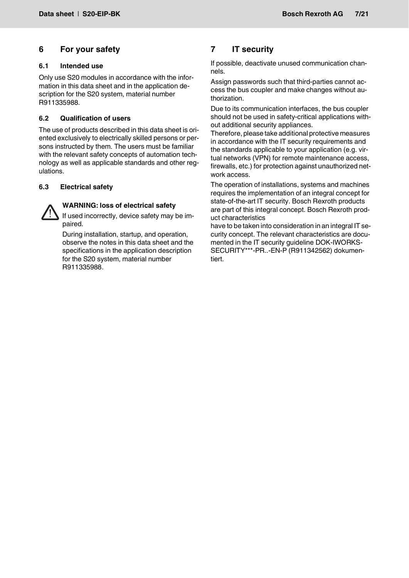# <span id="page-6-0"></span>**6 For your safety**

#### <span id="page-6-1"></span>**6.1 Intended use**

Only use S20 modules in accordance with the information in this data sheet and in the application description for the S20 system, material number R911335988.

#### <span id="page-6-2"></span>**6.2 Qualification of users**

The use of products described in this data sheet is oriented exclusively to electrically skilled persons or persons instructed by them. The users must be familiar with the relevant safety concepts of automation technology as well as applicable standards and other regulations.

#### <span id="page-6-3"></span>**6.3 Electrical safety**



### **WARNING: loss of electrical safety**

If used incorrectly, device safety may be impaired.

During installation, startup, and operation, observe the notes in this data sheet and the specifications in the application description for the S20 system, material number R911335988.

# <span id="page-6-4"></span>**7 IT security**

If possible, deactivate unused communication channels.

Assign passwords such that third-parties cannot access the bus coupler and make changes without authorization.

Due to its communication interfaces, the bus coupler should not be used in safety-critical applications without additional security appliances.

Therefore, please take additional protective measures in accordance with the IT security requirements and the standards applicable to your application (e.g. virtual networks (VPN) for remote maintenance access, firewalls, etc.) for protection against unauthorized network access.

The operation of installations, systems and machines requires the implementation of an integral concept for state-of-the-art IT security. Bosch Rexroth products are part of this integral concept. Bosch Rexroth product characteristics

have to be taken into consideration in an integral IT security concept. The relevant characteristics are documented in the IT security guideline DOK-IWORKS-SECURITY\*\*\*-PR..-EN-P (R911342562) dokumentiert.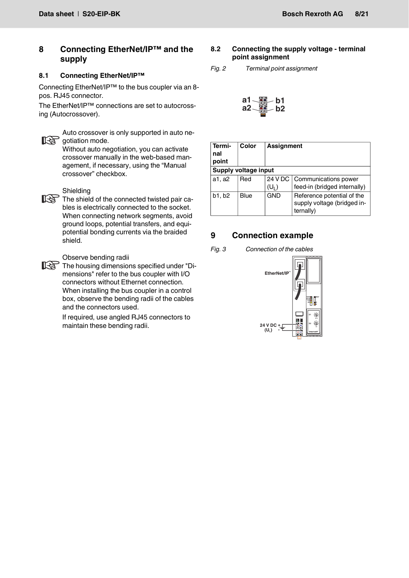# <span id="page-7-0"></span>**8 Connecting EtherNet/IP™ and the supply**

#### <span id="page-7-1"></span>**8.1 Connecting EtherNet/IP™**

Connecting EtherNet/IP™ to the bus coupler via an 8 pos. RJ45 connector.

The EtherNet/IP™ connections are set to autocrossing (Autocrossover).



Auto crossover is only supported in auto ne-**IRE gotiation mode.** 

Without auto negotiation, you can activate crossover manually in the web-based management, if necessary, using the "Manual crossover" checkbox.



## Shielding

The shield of the connected twisted pair cables is electrically connected to the socket. When connecting network segments, avoid ground loops, potential transfers, and equipotential bonding currents via the braided shield.

#### Observe bending radii

The housing dimensions specified under "Dimensions" refer to the bus coupler with I/O connectors without Ethernet connection. When installing the bus coupler in a control box, observe the bending radii of the cables and the connectors used.

> If required, use angled RJ45 connectors to maintain these bending radii.

#### <span id="page-7-2"></span>**8.2 Connecting the supply voltage - terminal point assignment**

*Fig. 2 Terminal point assignment*

$$
a1 - \frac{a}{2} - b1
$$
  

$$
a2 - \frac{a}{2} - b2
$$

| Termi-<br>nal<br>point | Color                | <b>Assignment</b>  |                                                                        |  |  |
|------------------------|----------------------|--------------------|------------------------------------------------------------------------|--|--|
|                        | Supply voltage input |                    |                                                                        |  |  |
| a1, a2                 | Red                  | 24 V DC<br>$(U_1)$ | Communications power<br>feed-in (bridged internally)                   |  |  |
| b1, b2                 | Blue                 | <b>GND</b>         | Reference potential of the<br>supply voltage (bridged in-<br>ternally) |  |  |

# <span id="page-7-3"></span>**9 Connection example**

*Fig. 3 Connection of the cables*

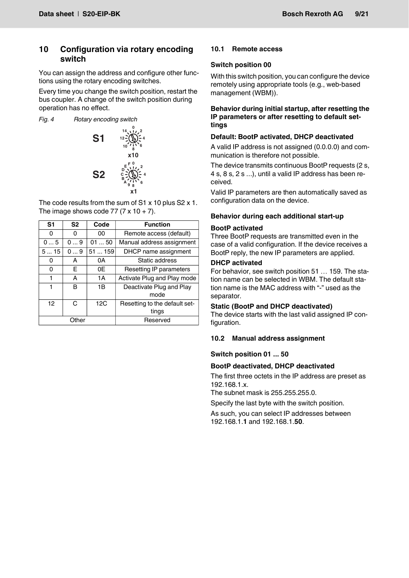# <span id="page-8-0"></span>**10 Configuration via rotary encoding switch**

You can assign the address and configure other functions using the rotary encoding switches.

Every time you change the switch position, restart the bus coupler. A change of the switch position during operation has no effect.

*Fig. 4 Rotary encoding switch*



The code results from the sum of S1 x 10 plus S2 x 1. The image shows code 77 (7  $\times$  10 + 7).

| S <sub>1</sub> | S <sub>2</sub> | Code  | <b>Function</b>                        |
|----------------|----------------|-------|----------------------------------------|
| 0              | 0              | 00    | Remote access (default)                |
| 05             | 09             | 0150  | Manual address assignment              |
| 515            | 09             | 51159 | DHCP name assignment                   |
| Ω              | А              | 0A    | Static address                         |
| 0              | E.             | 0Ε    | Resetting IP parameters                |
| 1              | А              | 1A    | Activate Plug and Play mode            |
| 1              | в              | 1B    | Deactivate Plug and Play<br>mode       |
| 12             | C              | 12C   | Resetting to the default set-<br>tings |
|                | Other          |       | Reserved                               |

# <span id="page-8-1"></span>**10.1 Remote access**

### **Switch position 00**

With this switch position, you can configure the device remotely using appropriate tools (e.g., web-based management (WBM)).

#### **Behavior during initial startup, after resetting the IP parameters or after resetting to default settings**

### **Default: BootP activated, DHCP deactivated**

A valid IP address is not assigned (0.0.0.0) and communication is therefore not possible.

The device transmits continuous BootP requests (2 s, 4 s, 8 s, 2 s ...), until a valid IP address has been received.

Valid IP parameters are then automatically saved as configuration data on the device.

### **Behavior during each additional start-up**

### **BootP activated**

Three BootP requests are transmitted even in the case of a valid configuration. If the device receives a BootP reply, the new IP parameters are applied.

#### **DHCP activated**

For behavior, see switch position 51 ... 159. The station name can be selected in WBM. The default station name is the MAC address with "-" used as the separator.

#### **Static (BootP and DHCP deactivated)**

The device starts with the last valid assigned IP configuration.

#### <span id="page-8-2"></span>**10.2 Manual address assignment**

#### **Switch position 01 ... 50**

#### **BootP deactivated, DHCP deactivated**

The first three octets in the IP address are preset as 192.168.1.x.

The subnet mask is 255.255.255.0.

Specify the last byte with the switch position.

As such, you can select IP addresses between 192.168.1.**1** and 192.168.1.**50**.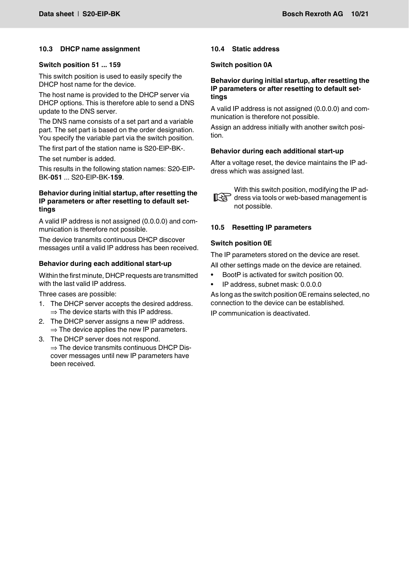#### <span id="page-9-0"></span>**10.3 DHCP name assignment**

#### **Switch position 51 ... 159**

This switch position is used to easily specify the DHCP host name for the device.

The host name is provided to the DHCP server via DHCP options. This is therefore able to send a DNS update to the DNS server.

The DNS name consists of a set part and a variable part. The set part is based on the order designation. You specify the variable part via the switch position.

The first part of the station name is S20-EIP-BK-.

The set number is added.

This results in the following station names: S20-EIP-BK-**051** ... S20-EIP-BK-**159**.

#### **Behavior during initial startup, after resetting the IP parameters or after resetting to default settings**

A valid IP address is not assigned (0.0.0.0) and communication is therefore not possible.

The device transmits continuous DHCP discover messages until a valid IP address has been received.

#### **Behavior during each additional start-up**

Within the first minute, DHCP requests are transmitted with the last valid IP address.

Three cases are possible:

- 1. The DHCP server accepts the desired address.  $\Rightarrow$  The device starts with this IP address.
- 2. The DHCP server assigns a new IP address.  $\Rightarrow$  The device applies the new IP parameters.
- 3. The DHCP server does not respond.  $\Rightarrow$  The device transmits continuous DHCP Discover messages until new IP parameters have been received.

#### <span id="page-9-1"></span>**10.4 Static address**

#### **Switch position 0A**

#### **Behavior during initial startup, after resetting the IP parameters or after resetting to default settings**

A valid IP address is not assigned (0.0.0.0) and communication is therefore not possible.

Assign an address initially with another switch position.

#### **Behavior during each additional start-up**

After a voltage reset, the device maintains the IP address which was assigned last.



With this switch position, modifying the IP address via tools or web-based management is not possible.

#### <span id="page-9-2"></span>**10.5 Resetting IP parameters**

#### **Switch position 0E**

The IP parameters stored on the device are reset. All other settings made on the device are retained.

- BootP is activated for switch position 00.
- IP address, subnet mask: 0.0.0.0

As long as the switch position 0E remains selected, no connection to the device can be established.

IP communication is deactivated.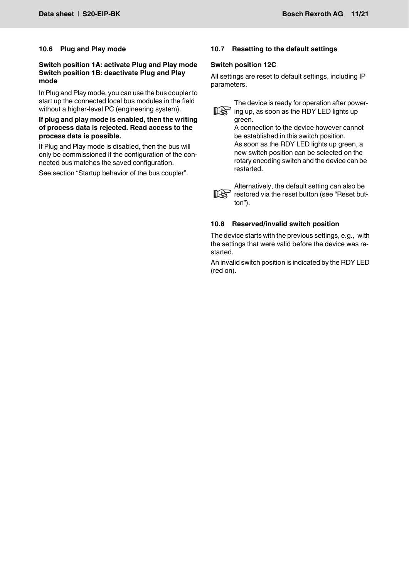#### <span id="page-10-0"></span>**10.6 Plug and Play mode**

#### **Switch position 1A: activate Plug and Play mode Switch position 1B: deactivate Plug and Play mode**

In Plug and Play mode, you can use the bus coupler to start up the connected local bus modules in the field without a higher-level PC (engineering system).

#### **If plug and play mode is enabled, then the writing of process data is rejected. Read access to the process data is possible.**

If Plug and Play mode is disabled, then the bus will only be commissioned if the configuration of the connected bus matches the saved configuration.

See section "Startup behavior of the bus coupler".

## <span id="page-10-1"></span>**10.7 Resetting to the default settings**

#### **Switch position 12C**

All settings are reset to default settings, including IP parameters.



The device is ready for operation after power- $\mathbb{R}$  ing up, as soon as the RDY LED lights up green.

> A connection to the device however cannot be established in this switch position. As soon as the RDY LED lights up green, a new switch position can be selected on the rotary encoding switch and the device can be restarted.



Alternatively, the default setting can also be restored via the reset button (see "Reset button").

#### <span id="page-10-2"></span>**10.8 Reserved/invalid switch position**

The device starts with the previous settings, e.g., with the settings that were valid before the device was restarted.

An invalid switch position is indicated by the RDY LED (red on).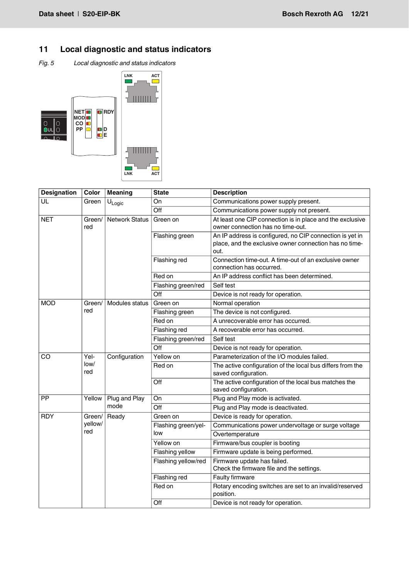# <span id="page-11-0"></span>**11 Local diagnostic and status indicators**

*Fig. 5 Local diagnostic and status indicators*



| <b>Designation</b> | Color          | <b>Meaning</b>        | <b>State</b>        | <b>Description</b>                                                                                                         |
|--------------------|----------------|-----------------------|---------------------|----------------------------------------------------------------------------------------------------------------------------|
| UL                 | Green          | $U_{Logic}$           | On                  | Communications power supply present.                                                                                       |
|                    |                |                       | Off                 | Communications power supply not present.                                                                                   |
| <b>NET</b>         | Green/<br>red  | <b>Network Status</b> | Green on            | At least one CIP connection is in place and the exclusive<br>owner connection has no time-out.                             |
|                    |                |                       | Flashing green      | An IP address is configured, no CIP connection is yet in<br>place, and the exclusive owner connection has no time-<br>out. |
|                    |                |                       | Flashing red        | Connection time-out. A time-out of an exclusive owner<br>connection has occurred.                                          |
|                    |                |                       | Red on              | An IP address conflict has been determined.                                                                                |
|                    |                |                       | Flashing green/red  | Self test                                                                                                                  |
|                    |                |                       | Off                 | Device is not ready for operation.                                                                                         |
| <b>MOD</b>         | Green/         | Modules status        | Green on            | Normal operation                                                                                                           |
|                    | red            |                       | Flashing green      | The device is not configured.                                                                                              |
|                    |                |                       | Red on              | A unrecoverable error has occurred.                                                                                        |
|                    |                |                       | Flashing red        | A recoverable error has occurred.                                                                                          |
|                    |                |                       | Flashing green/red  | Self test                                                                                                                  |
|                    |                |                       | Off                 | Device is not ready for operation.                                                                                         |
| CO                 | Yel-           | Configuration         | Yellow on           | Parameterization of the I/O modules failed.                                                                                |
|                    | low/<br>red    |                       | Red on              | The active configuration of the local bus differs from the<br>saved configuration.                                         |
|                    |                |                       | Off                 | The active configuration of the local bus matches the<br>saved configuration.                                              |
| <b>PP</b>          | Yellow         | Plug and Play         | On                  | Plug and Play mode is activated.                                                                                           |
|                    |                | mode                  | Off                 | Plug and Play mode is deactivated.                                                                                         |
| <b>RDY</b>         | Green/         | Ready                 | Green on            | Device is ready for operation.                                                                                             |
|                    | yellow/<br>red |                       | Flashing green/yel- | Communications power undervoltage or surge voltage                                                                         |
|                    |                |                       | low                 | Overtemperature                                                                                                            |
|                    |                |                       | Yellow on           | Firmware/bus coupler is booting                                                                                            |
|                    |                |                       | Flashing yellow     | Firmware update is being performed.                                                                                        |
|                    |                |                       | Flashing yellow/red | Firmware update has failed.<br>Check the firmware file and the settings.                                                   |
|                    |                |                       | Flashing red        | Faulty firmware                                                                                                            |
|                    |                |                       | Red on              | Rotary encoding switches are set to an invalid/reserved<br>position.                                                       |
|                    |                |                       | Off                 | Device is not ready for operation.                                                                                         |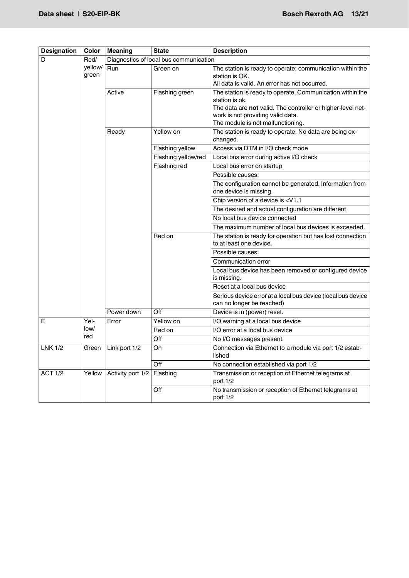| <b>Designation</b> | Color            | <b>Meaning</b>                         | <b>State</b>        | <b>Description</b>                                                                                                           |  |
|--------------------|------------------|----------------------------------------|---------------------|------------------------------------------------------------------------------------------------------------------------------|--|
| D                  | Red/             | Diagnostics of local bus communication |                     |                                                                                                                              |  |
|                    | yellow/<br>green | <b>Run</b>                             | Green on            | The station is ready to operate; communication within the<br>station is OK.<br>All data is valid. An error has not occurred. |  |
|                    |                  | Active                                 | Flashing green      | The station is ready to operate. Communication within the                                                                    |  |
|                    |                  |                                        |                     | station is ok.                                                                                                               |  |
|                    |                  |                                        |                     | The data are not valid. The controller or higher-level net-<br>work is not providing valid data.                             |  |
|                    |                  |                                        |                     | The module is not malfunctioning.                                                                                            |  |
|                    |                  | Ready                                  | Yellow on           | The station is ready to operate. No data are being ex-<br>changed.                                                           |  |
|                    |                  |                                        | Flashing yellow     | Access via DTM in I/O check mode                                                                                             |  |
|                    |                  |                                        | Flashing yellow/red | Local bus error during active I/O check                                                                                      |  |
|                    |                  |                                        | Flashing red        | Local bus error on startup                                                                                                   |  |
|                    |                  |                                        |                     | Possible causes:                                                                                                             |  |
|                    |                  |                                        |                     | The configuration cannot be generated. Information from<br>one device is missing.                                            |  |
|                    |                  |                                        |                     | Chip version of a device is <v1.1< td=""></v1.1<>                                                                            |  |
|                    |                  |                                        |                     | The desired and actual configuration are different                                                                           |  |
|                    |                  |                                        |                     | No local bus device connected                                                                                                |  |
|                    |                  |                                        |                     | The maximum number of local bus devices is exceeded.                                                                         |  |
|                    |                  |                                        | Red on              | The station is ready for operation but has lost connection<br>to at least one device.                                        |  |
|                    |                  |                                        |                     | Possible causes:                                                                                                             |  |
|                    |                  |                                        |                     | Communication error                                                                                                          |  |
|                    |                  |                                        |                     | Local bus device has been removed or configured device<br>is missing.                                                        |  |
|                    |                  |                                        |                     | Reset at a local bus device                                                                                                  |  |
|                    |                  |                                        |                     | Serious device error at a local bus device (local bus device<br>can no longer be reached)                                    |  |
|                    |                  | Power down                             | Off                 | Device is in (power) reset.                                                                                                  |  |
| Е                  | Yel-             | Error                                  | Yellow on           | I/O warning at a local bus device                                                                                            |  |
|                    | low/<br>red      |                                        | Red on              | I/O error at a local bus device                                                                                              |  |
|                    |                  |                                        | Off                 | No I/O messages present.                                                                                                     |  |
| <b>LNK 1/2</b>     | Green            | Link port 1/2                          | On                  | Connection via Ethernet to a module via port 1/2 estab-<br>lished                                                            |  |
|                    |                  |                                        | Off                 | No connection established via port 1/2                                                                                       |  |
| <b>ACT 1/2</b>     | Yellow           | Activity port 1/2                      | Flashing            | Transmission or reception of Ethernet telegrams at<br>port $1/2$                                                             |  |
|                    |                  |                                        | Off                 | No transmission or reception of Ethernet telegrams at<br>port $1/2$                                                          |  |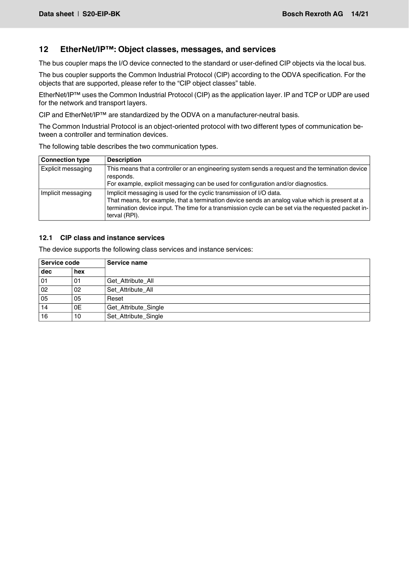# <span id="page-13-0"></span>**12 EtherNet/IP™: Object classes, messages, and services**

The bus coupler maps the I/O device connected to the standard or user-defined CIP objects via the local bus.

The bus coupler supports the Common Industrial Protocol (CIP) according to the ODVA specification. For the objects that are supported, please refer to the "CIP object classes" table.

EtherNet/IP™ uses the Common Industrial Protocol (CIP) as the application layer. IP and TCP or UDP are used for the network and transport layers.

CIP and EtherNet/IP™ are standardized by the ODVA on a manufacturer-neutral basis.

The Common Industrial Protocol is an object-oriented protocol with two different types of communication between a controller and termination devices.

The following table describes the two communication types.

| <b>Connection type</b> | <b>Description</b>                                                                                                                                                                                                                                                                            |
|------------------------|-----------------------------------------------------------------------------------------------------------------------------------------------------------------------------------------------------------------------------------------------------------------------------------------------|
| Explicit messaging     | This means that a controller or an engineering system sends a request and the termination device<br>responds.<br>For example, explicit messaging can be used for configuration and/or diagnostics.                                                                                            |
| Implicit messaging     | Implicit messaging is used for the cyclic transmission of I/O data.<br>That means, for example, that a termination device sends an analog value which is present at a<br>termination device input. The time for a transmission cycle can be set via the requested packet in-<br>terval (RPI). |

#### <span id="page-13-1"></span>**12.1 CIP class and instance services**

The device supports the following class services and instance services:

| Service code    |     | Service name         |  |
|-----------------|-----|----------------------|--|
| dec             | hex |                      |  |
| $\overline{0}1$ | 01  | Get_Attribute_All    |  |
| $\overline{0}$  | 02  | Set Attribute All    |  |
| 05              | 05  | Reset                |  |
| 14              | 0E  | Get_Attribute_Single |  |
| 16              | 10  | Set_Attribute_Single |  |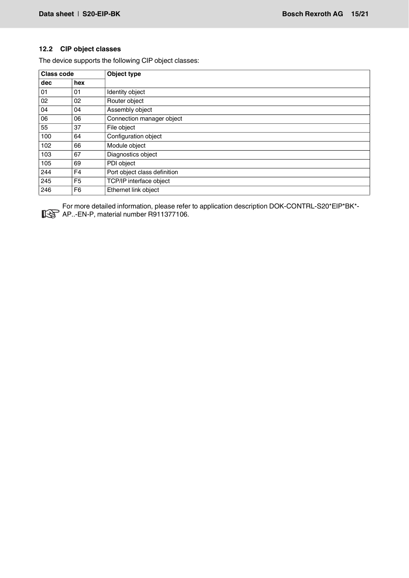### <span id="page-14-0"></span>**12.2 CIP object classes**

The device supports the following CIP object classes:

| <b>Class code</b> |                | Object type                  |  |  |  |
|-------------------|----------------|------------------------------|--|--|--|
| dec               | hex            |                              |  |  |  |
| 01                | 01             | Identity object              |  |  |  |
| 02                | 02             | Router object                |  |  |  |
| 04                | 04             | Assembly object              |  |  |  |
| 06                | 06             | Connection manager object    |  |  |  |
| 55                | 37             | File object                  |  |  |  |
| 100               | 64             | Configuration object         |  |  |  |
| 102               | 66             | Module object                |  |  |  |
| 103               | 67             | Diagnostics object           |  |  |  |
| 105               | 69             | PDI object                   |  |  |  |
| 244               | F <sub>4</sub> | Port object class definition |  |  |  |
| 245               | F <sub>5</sub> | TCP/IP interface object      |  |  |  |
| 246               | F <sub>6</sub> | Ethernet link object         |  |  |  |

For more detailed information, please refer to application description DOK-CONTRL-S20\*EIP\*BK\*- AP..-EN-P, material number R911377106.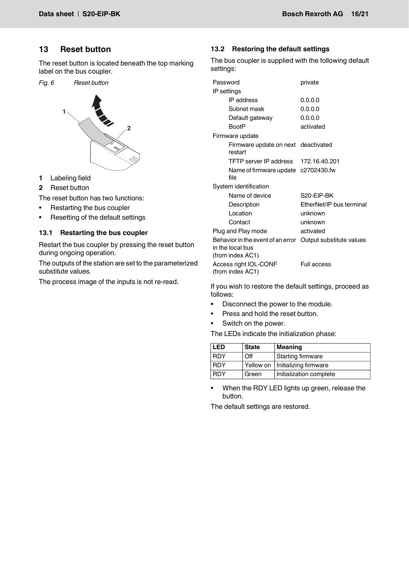# <span id="page-15-0"></span>**13 Reset button**

The reset button is located beneath the top marking label on the bus coupler.

*Fig. 6 Reset button*



- **1** Labeling field
- **2** Reset button

The reset button has two functions:

- Restarting the bus coupler
- Resetting of the default settings

#### <span id="page-15-1"></span>**13.1 Restarting the bus coupler**

Restart the bus coupler by pressing the reset button during ongoing operation.

The outputs of the station are set to the parameterized substitute values.

The process image of the inputs is not re-read.

### <span id="page-15-2"></span>**13.2 Restoring the default settings**

The bus coupler is supplied with the following default settings:

| Password                                                                                           | private                  |  |  |  |
|----------------------------------------------------------------------------------------------------|--------------------------|--|--|--|
| IP settings                                                                                        |                          |  |  |  |
| IP address                                                                                         | 0.0.0.0                  |  |  |  |
| Subnet mask                                                                                        | 0.0.0.0                  |  |  |  |
| Default gateway                                                                                    | 0.0.0.0                  |  |  |  |
| <b>BootP</b>                                                                                       | activated                |  |  |  |
| Firmware update                                                                                    |                          |  |  |  |
| Firmware update on next deactivated<br>restart                                                     |                          |  |  |  |
| TFTP server IP address 172.16.40.201                                                               |                          |  |  |  |
| Name of firmware update c2702430.fw<br>file                                                        |                          |  |  |  |
| System identification                                                                              |                          |  |  |  |
| Name of device                                                                                     | S20-EIP-BK               |  |  |  |
| Description                                                                                        | EtherNet/IP bus terminal |  |  |  |
| Location                                                                                           | unknown                  |  |  |  |
| Contact                                                                                            | unknown                  |  |  |  |
| Plug and Play mode                                                                                 | activated                |  |  |  |
| Behavior in the event of an error Output substitute values<br>in the local bus<br>(from index AC1) |                          |  |  |  |
| Access right IOL-CONF<br>(from index AC1)                                                          | Full access              |  |  |  |

If you wish to restore the default settings, proceed as follows:

- **•** Disconnect the power to the module.
- **•** Press and hold the reset button.
- **•** Switch on the power.

The LEDs indicate the initialization phase:

| <b>LED</b> | <b>State</b> | <b>Meaning</b>                    |
|------------|--------------|-----------------------------------|
| <b>RDY</b> | Off          | <b>Starting firmware</b>          |
| <b>RDY</b> |              | Yellow on   Initializing firmware |
| <b>RDY</b> | Green        | Initialization complete           |

**•** When the RDY LED lights up green, release the button.

The default settings are restored.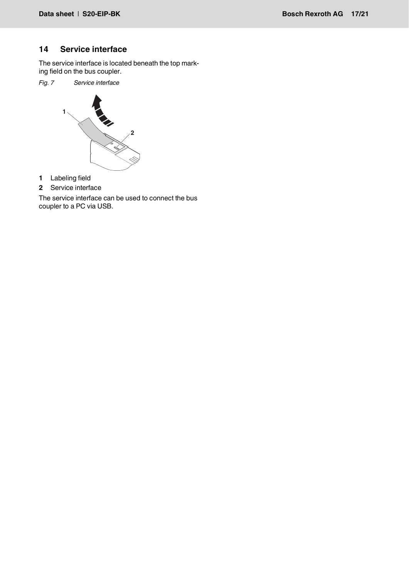# <span id="page-16-0"></span>**14 Service interface**

The service interface is located beneath the top marking field on the bus coupler.

*Fig. 7 Service interface*



- **1** Labeling field
- **2** Service interface

The service interface can be used to connect the bus coupler to a PC via USB.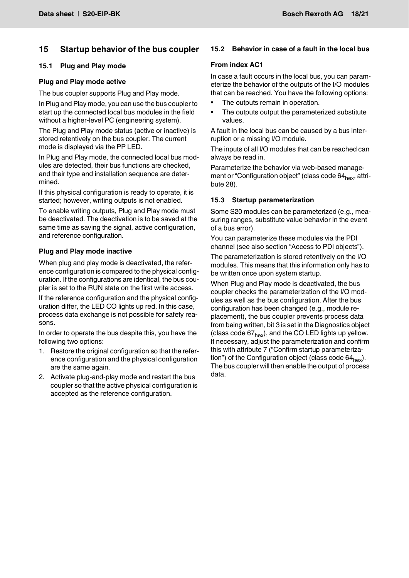# <span id="page-17-0"></span>**15 Startup behavior of the bus coupler**

#### <span id="page-17-1"></span>**15.1 Plug and Play mode**

#### **Plug and Play mode active**

The bus coupler supports Plug and Play mode.

In Plug and Play mode, you can use the bus coupler to start up the connected local bus modules in the field without a higher-level PC (engineering system).

The Plug and Play mode status (active or inactive) is stored retentively on the bus coupler. The current mode is displayed via the PP LED.

In Plug and Play mode, the connected local bus modules are detected, their bus functions are checked, and their type and installation sequence are determined.

If this physical configuration is ready to operate, it is started; however, writing outputs is not enabled.

To enable writing outputs, Plug and Play mode must be deactivated. The deactivation is to be saved at the same time as saving the signal, active configuration, and reference configuration.

#### **Plug and Play mode inactive**

When plug and play mode is deactivated, the reference configuration is compared to the physical configuration. If the configurations are identical, the bus coupler is set to the RUN state on the first write access.

If the reference configuration and the physical configuration differ, the LED CO lights up red. In this case, process data exchange is not possible for safety reasons.

In order to operate the bus despite this, you have the following two options:

- 1. Restore the original configuration so that the reference configuration and the physical configuration are the same again.
- 2. Activate plug-and-play mode and restart the bus coupler so that the active physical configuration is accepted as the reference configuration.

### <span id="page-17-2"></span>**15.2 Behavior in case of a fault in the local bus**

#### **From index AC1**

In case a fault occurs in the local bus, you can parameterize the behavior of the outputs of the I/O modules that can be reached. You have the following options:

- The outputs remain in operation.
- The outputs output the parameterized substitute values.

A fault in the local bus can be caused by a bus interruption or a missing I/O module.

The inputs of all I/O modules that can be reached can always be read in.

Parameterize the behavior via web-based management or "Configuration object" (class code 64<sub>hex</sub>, attribute 28).

#### <span id="page-17-3"></span>**15.3 Startup parameterization**

Some S20 modules can be parameterized (e.g., measuring ranges, substitute value behavior in the event of a bus error).

You can parameterize these modules via the PDI channel (see also section "Access to PDI objects").

The parameterization is stored retentively on the I/O modules. This means that this information only has to be written once upon system startup.

When Plug and Play mode is deactivated, the bus coupler checks the parameterization of the I/O modules as well as the bus configuration. After the bus configuration has been changed (e.g., module replacement), the bus coupler prevents process data from being written, bit 3 is set in the Diagnostics object (class code  $67<sub>hex</sub>$ ), and the CO LED lights up yellow. If necessary, adjust the parameterization and confirm this with attribute 7 ("Confirm startup parameterization") of the Configuration object (class code  $64<sub>hex</sub>$ ). The bus coupler will then enable the output of process data.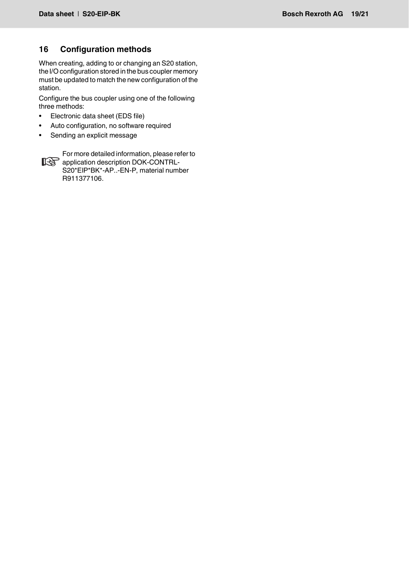# <span id="page-18-0"></span>**16 Configuration methods**

When creating, adding to or changing an S20 station, the I/O configuration stored in the bus coupler memory must be updated to match the new configuration of the station.

Configure the bus coupler using one of the following three methods:

- Electronic data sheet (EDS file)
- Auto configuration, no software required
- Sending an explicit message



For more detailed information, please refer to application description DOK-CONTRL-S20\*EIP\*BK\*-AP..-EN-P, material number R911377106.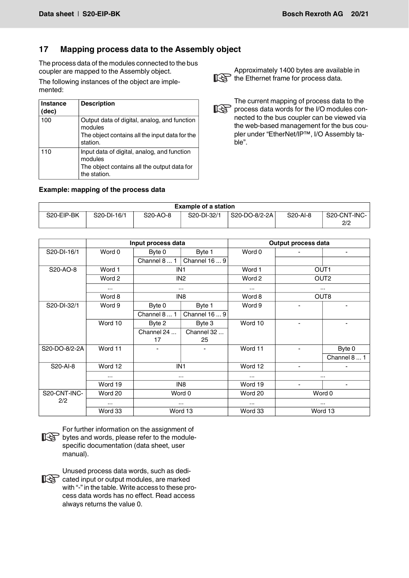# <span id="page-19-0"></span>**17 Mapping process data to the Assembly object**

The process data of the modules connected to the bus coupler are mapped to the Assembly object.

The following instances of the object are implemented:

| Instance<br>(dec) | <b>Description</b>                                                                                                    |
|-------------------|-----------------------------------------------------------------------------------------------------------------------|
| 100               | Output data of digital, analog, and function<br>modules<br>The object contains all the input data for the<br>station. |
| 110               | Input data of digital, analog, and function<br>modules<br>The object contains all the output data for<br>the station. |

# **Example: mapping of the process data**

Approximately 1400 bytes are available in the Ethernet frame for process data.

The current mapping of process data to the process data words for the I/O modules connected to the bus coupler can be viewed via the web-based management for the bus coupler under "EtherNet/IP™, I/O Assembly table".

| <b>Example of a station</b> |             |                                    |             |               |                       |                     |
|-----------------------------|-------------|------------------------------------|-------------|---------------|-----------------------|---------------------|
| S20-EIP-BK                  | S20-DI-16/1 | S <sub>20</sub> -A <sub>O</sub> -8 | S20-DI-32/1 | S20-DO-8/2-2A | S <sub>20</sub> -AI-8 | S20-CNT-INC-<br>2/2 |

|                     | Input process data |                 |                 | Output process data |                          |                          |  |
|---------------------|--------------------|-----------------|-----------------|---------------------|--------------------------|--------------------------|--|
| S20-DI-16/1         | Word 0             | Byte 0          | Byte 1          | Word 0              |                          | ٠                        |  |
|                     |                    | Channel 8  1    | Channel 16  9   |                     |                          |                          |  |
| S20-AO-8            | Word 1             | IN <sub>1</sub> |                 | Word 1              |                          | OUT <sub>1</sub>         |  |
|                     | Word 2             |                 | IN <sub>2</sub> | Word 2              |                          | OUT <sub>2</sub>         |  |
|                     | $\cdots$           | $\cdots$        |                 | $\cdots$            |                          | $\cdots$                 |  |
|                     | Word 8             | IN <sub>8</sub> |                 | Word 8              |                          | OUT8                     |  |
| S20-DI-32/1         | Word 9             | Byte 0          | Byte 1          | Word 9              | ٠                        | $\overline{\phantom{0}}$ |  |
|                     |                    | Channel 8  1    | Channel 16  9   |                     |                          |                          |  |
|                     | Word 10            | Byte 2          | Byte 3          | Word 10             |                          |                          |  |
|                     |                    | Channel 24      | Channel 32      |                     |                          |                          |  |
|                     |                    | 17              | 25              |                     |                          |                          |  |
| S20-DO-8/2-2A       | Word 11            | ٠               | $\blacksquare$  | Word 11             | $\blacksquare$           | Byte 0                   |  |
|                     |                    |                 |                 |                     |                          | Channel 8  1             |  |
| Word 12<br>S20-AI-8 |                    |                 | IN <sub>1</sub> | Word 12             | $\overline{\phantom{a}}$ | $\blacksquare$           |  |
|                     | $\cdots$           | $\cdots$        |                 | $\cdots$            | $\cdots$                 |                          |  |
|                     | Word 19            | IN8             |                 | Word 19             |                          |                          |  |
| S20-CNT-INC-<br>2/2 | Word 20            | Word 0          |                 | Word 20             | Word 0                   |                          |  |
|                     | $\cdots$           | $\cdots$        |                 | $\cdots$            |                          | $\cdots$                 |  |
|                     | Word 33            | Word 13         |                 | Word 33             | Word 13                  |                          |  |



For further information on the assignment of by terms in constructed to the modulespecific documentation (data sheet, user manual).



Unused process data words, such as dedicated input or output modules, are marked with "-" in the table. Write access to these process data words has no effect. Read access always returns the value 0.